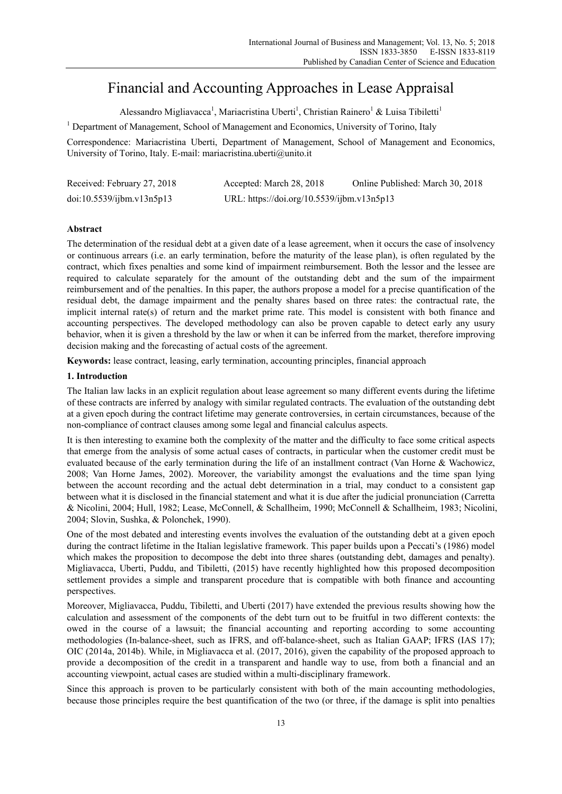# Financial and Accounting Approaches in Lease Appraisal

Alessandro Migliavacca<sup>1</sup>, Mariacristina Uberti<sup>1</sup>, Christian Rainero<sup>1</sup> & Luisa Tibiletti<sup>1</sup>

<sup>1</sup> Department of Management, School of Management and Economics, University of Torino, Italy

Correspondence: Mariacristina Uberti, Department of Management, School of Management and Economics, University of Torino, Italy. E-mail: mariacristina.uberti@unito.it

| Received: February 27, 2018 | Accepted: March 28, 2018                   | Online Published: March 30, 2018 |
|-----------------------------|--------------------------------------------|----------------------------------|
| doi:10.5539/jbm.v13n5p13    | URL: https://doi.org/10.5539/ijbm.v13n5p13 |                                  |

# **Abstract**

The determination of the residual debt at a given date of a lease agreement, when it occurs the case of insolvency or continuous arrears (i.e. an early termination, before the maturity of the lease plan), is often regulated by the contract, which fixes penalties and some kind of impairment reimbursement. Both the lessor and the lessee are required to calculate separately for the amount of the outstanding debt and the sum of the impairment reimbursement and of the penalties. In this paper, the authors propose a model for a precise quantification of the residual debt, the damage impairment and the penalty shares based on three rates: the contractual rate, the implicit internal rate(s) of return and the market prime rate. This model is consistent with both finance and accounting perspectives. The developed methodology can also be proven capable to detect early any usury behavior, when it is given a threshold by the law or when it can be inferred from the market, therefore improving decision making and the forecasting of actual costs of the agreement.

**Keywords:** lease contract, leasing, early termination, accounting principles, financial approach

# **1. Introduction**

The Italian law lacks in an explicit regulation about lease agreement so many different events during the lifetime of these contracts are inferred by analogy with similar regulated contracts. The evaluation of the outstanding debt at a given epoch during the contract lifetime may generate controversies, in certain circumstances, because of the non-compliance of contract clauses among some legal and financial calculus aspects.

It is then interesting to examine both the complexity of the matter and the difficulty to face some critical aspects that emerge from the analysis of some actual cases of contracts, in particular when the customer credit must be evaluated because of the early termination during the life of an installment contract (Van Horne & Wachowicz, 2008; Van Horne James, 2002). Moreover, the variability amongst the evaluations and the time span lying between the account recording and the actual debt determination in a trial, may conduct to a consistent gap between what it is disclosed in the financial statement and what it is due after the judicial pronunciation (Carretta & Nicolini, 2004; Hull, 1982; Lease, McConnell, & Schallheim, 1990; McConnell & Schallheim, 1983; Nicolini, 2004; Slovin, Sushka, & Polonchek, 1990).

One of the most debated and interesting events involves the evaluation of the outstanding debt at a given epoch during the contract lifetime in the Italian legislative framework. This paper builds upon a Peccati's (1986) model which makes the proposition to decompose the debt into three shares (outstanding debt, damages and penalty). Migliavacca, Uberti, Puddu, and Tibiletti, (2015) have recently highlighted how this proposed decomposition settlement provides a simple and transparent procedure that is compatible with both finance and accounting perspectives.

Moreover, Migliavacca, Puddu, Tibiletti, and Uberti (2017) have extended the previous results showing how the calculation and assessment of the components of the debt turn out to be fruitful in two different contexts: the owed in the course of a lawsuit; the financial accounting and reporting according to some accounting methodologies (In-balance-sheet, such as IFRS, and off-balance-sheet, such as Italian GAAP; IFRS (IAS 17); OIC (2014a, 2014b). While, in Migliavacca et al. (2017, 2016), given the capability of the proposed approach to provide a decomposition of the credit in a transparent and handle way to use, from both a financial and an accounting viewpoint, actual cases are studied within a multi-disciplinary framework.

Since this approach is proven to be particularly consistent with both of the main accounting methodologies, because those principles require the best quantification of the two (or three, if the damage is split into penalties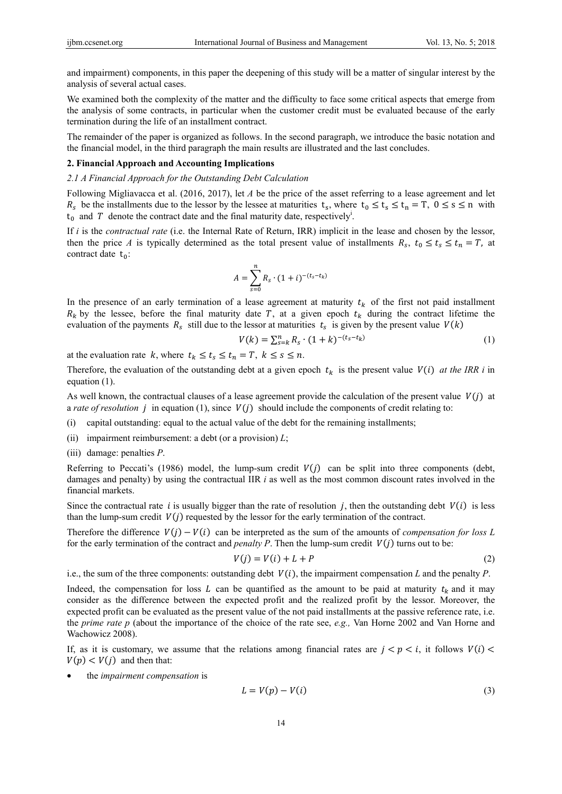and impairment) components, in this paper the deepening of this study will be a matter of singular interest by the analysis of several actual cases.

We examined both the complexity of the matter and the difficulty to face some critical aspects that emerge from the analysis of some contracts, in particular when the customer credit must be evaluated because of the early termination during the life of an installment contract.

The remainder of the paper is organized as follows. In the second paragraph, we introduce the basic notation and the financial model, in the third paragraph the main results are illustrated and the last concludes.

#### **2. Financial Approach and Accounting Implications**

#### *2.1 A Financial Approach for the Outstanding Debt Calculation*

Following Migliavacca et al. (2016, 2017), let *A* be the price of the asset referring to a lease agreement and let  $R_s$  be the installments due to the lessor by the lessee at maturities  $t_s$ , where  $t_0 \le t_s \le t_n = T$ ,  $0 \le s \le n$  with  $t_0$  and T denote the contract date and the final maturity date, respectively<sup>i</sup>.

If *i* is the *contractual rate* (i.e. the Internal Rate of Return, IRR) implicit in the lease and chosen by the lessor, then the price *A* is typically determined as the total present value of installments  $R_s$ ,  $t_0 \le t_s \le t_n = T$ , at contract date  $t_0$ :

$$
A = \sum_{s=0}^{n} R_s \cdot (1+i)^{-(t_s - t_k)}
$$

In the presence of an early termination of a lease agreement at maturity  $t_k$  of the first not paid installment  $R_k$  by the lessee, before the final maturity date T, at a given epoch  $t_k$  during the contract lifetime the evaluation of the payments  $R_s$  still due to the lessor at maturities  $t_s$  is given by the present value  $V(k)$ 

$$
V(k) = \sum_{s=k}^{n} R_s \cdot (1+k)^{-(t_s-t_k)} \tag{1}
$$

at the evaluation rate k, where  $t_k \le t_s \le t_n = T$ ,  $k \le s \le n$ .

Therefore, the evaluation of the outstanding debt at a given epoch  $t_k$  is the present value  $V(i)$  *at the IRR i* in equation (1).

As well known, the contractual clauses of a lease agreement provide the calculation of the present value  $V(j)$  at a *rate of resolution*  $j$  in equation (1), since  $V(j)$  should include the components of credit relating to:

- (i) capital outstanding: equal to the actual value of the debt for the remaining installments;
- (ii) impairment reimbursement: a debt (or a provision) *L*;
- (iii) damage: penalties *P*.

Referring to Peccati's (1986) model, the lump-sum credit  $V(i)$  can be split into three components (debt, damages and penalty) by using the contractual IIR *i* as well as the most common discount rates involved in the financial markets.

Since the contractual rate i is usually bigger than the rate of resolution j, then the outstanding debt  $V(i)$  is less than the lump-sum credit  $V(j)$  requested by the lessor for the early termination of the contract.

Therefore the difference  $V(i) - V(i)$  can be interpreted as the sum of the amounts of *compensation for loss L* for the early termination of the contract and *penalty P*. Then the lump-sum credit  $V(j)$  turns out to be:

$$
V(j) = V(i) + L + P \tag{2}
$$

i.e., the sum of the three components: outstanding debt  $V(i)$ , the impairment compensation *L* and the penalty *P*.

Indeed, the compensation for loss L can be quantified as the amount to be paid at maturity  $t_k$  and it may consider as the difference between the expected profit and the realized profit by the lessor. Moreover, the expected profit can be evaluated as the present value of the not paid installments at the passive reference rate, i.e. the *prime rate p* (about the importance of the choice of the rate see, *e.g.,* Van Horne 2002 and Van Horne and Wachowicz 2008).

If, as it is customary, we assume that the relations among financial rates are  $j < p < i$ , it follows  $V(i) <$  $V(p) < V(j)$  and then that:

• the *impairment compensation* is

$$
L = V(p) - V(i) \tag{3}
$$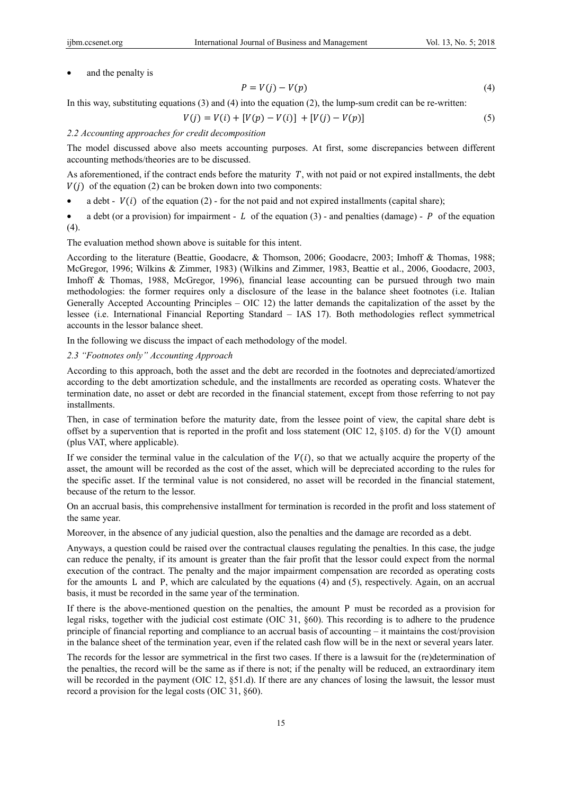#### and the penalty is

$$
P = V(j) - V(p) \tag{4}
$$

In this way, substituting equations (3) and (4) into the equation (2), the lump-sum credit can be re-written:

$$
V(j) = V(i) + [V(p) - V(i)] + [V(j) - V(p)] \tag{5}
$$

## *2.2 Accounting approaches for credit decomposition*

The model discussed above also meets accounting purposes. At first, some discrepancies between different accounting methods/theories are to be discussed.

As aforementioned, if the contract ends before the maturity  $T$ , with not paid or not expired installments, the debt  $V(j)$  of the equation (2) can be broken down into two components:

a debt -  $V(i)$  of the equation (2) - for the not paid and not expired installments (capital share);

• a debt (or a provision) for impairment -  $L$  of the equation (3) - and penalties (damage) -  $P$  of the equation  $(4).$ 

The evaluation method shown above is suitable for this intent.

According to the literature (Beattie, Goodacre, & Thomson, 2006; Goodacre, 2003; Imhoff & Thomas, 1988; McGregor, 1996; Wilkins & Zimmer, 1983) (Wilkins and Zimmer, 1983, Beattie et al., 2006, Goodacre, 2003, Imhoff & Thomas, 1988, McGregor, 1996), financial lease accounting can be pursued through two main methodologies: the former requires only a disclosure of the lease in the balance sheet footnotes (i.e. Italian Generally Accepted Accounting Principles – OIC 12) the latter demands the capitalization of the asset by the lessee (i.e. International Financial Reporting Standard – IAS 17). Both methodologies reflect symmetrical accounts in the lessor balance sheet.

In the following we discuss the impact of each methodology of the model.

# *2.3 "Footnotes only" Accounting Approach*

According to this approach, both the asset and the debt are recorded in the footnotes and depreciated/amortized according to the debt amortization schedule, and the installments are recorded as operating costs. Whatever the termination date, no asset or debt are recorded in the financial statement, except from those referring to not pay installments.

Then, in case of termination before the maturity date, from the lessee point of view, the capital share debt is offset by a supervention that is reported in the profit and loss statement (OIC 12, §105. d) for the V(I) amount (plus VAT, where applicable).

If we consider the terminal value in the calculation of the  $V(i)$ , so that we actually acquire the property of the asset, the amount will be recorded as the cost of the asset, which will be depreciated according to the rules for the specific asset. If the terminal value is not considered, no asset will be recorded in the financial statement, because of the return to the lessor.

On an accrual basis, this comprehensive installment for termination is recorded in the profit and loss statement of the same year.

Moreover, in the absence of any judicial question, also the penalties and the damage are recorded as a debt.

Anyways, a question could be raised over the contractual clauses regulating the penalties. In this case, the judge can reduce the penalty, if its amount is greater than the fair profit that the lessor could expect from the normal execution of the contract. The penalty and the major impairment compensation are recorded as operating costs for the amounts L and P, which are calculated by the equations (4) and (5), respectively. Again, on an accrual basis, it must be recorded in the same year of the termination.

If there is the above-mentioned question on the penalties, the amount P must be recorded as a provision for legal risks, together with the judicial cost estimate (OIC 31, §60). This recording is to adhere to the prudence principle of financial reporting and compliance to an accrual basis of accounting – it maintains the cost/provision in the balance sheet of the termination year, even if the related cash flow will be in the next or several years later.

The records for the lessor are symmetrical in the first two cases. If there is a lawsuit for the (re)determination of the penalties, the record will be the same as if there is not; if the penalty will be reduced, an extraordinary item will be recorded in the payment (OIC 12, §51.d). If there are any chances of losing the lawsuit, the lessor must record a provision for the legal costs (OIC 31, §60).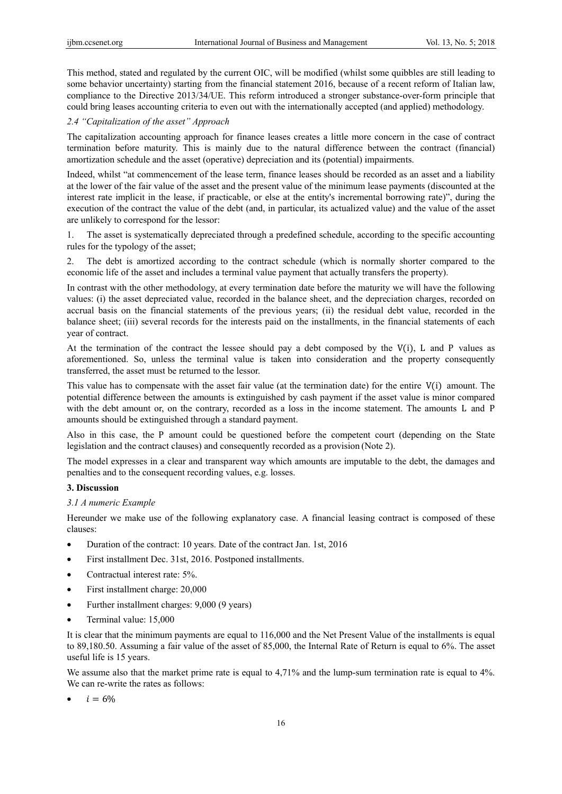This method, stated and regulated by the current OIC, will be modified (whilst some quibbles are still leading to some behavior uncertainty) starting from the financial statement 2016, because of a recent reform of Italian law, compliance to the Directive 2013/34/UE. This reform introduced a stronger substance-over-form principle that could bring leases accounting criteria to even out with the internationally accepted (and applied) methodology.

## *2.4 "Capitalization of the asset" Approach*

The capitalization accounting approach for finance leases creates a little more concern in the case of contract termination before maturity. This is mainly due to the natural difference between the contract (financial) amortization schedule and the asset (operative) depreciation and its (potential) impairments.

Indeed, whilst "at commencement of the lease term, finance leases should be recorded as an asset and a liability at the lower of the fair value of the asset and the present value of the minimum lease payments (discounted at the interest rate implicit in the lease, if practicable, or else at the entity's incremental borrowing rate)", during the execution of the contract the value of the debt (and, in particular, its actualized value) and the value of the asset are unlikely to correspond for the lessor:

1. The asset is systematically depreciated through a predefined schedule, according to the specific accounting rules for the typology of the asset;

2. The debt is amortized according to the contract schedule (which is normally shorter compared to the economic life of the asset and includes a terminal value payment that actually transfers the property).

In contrast with the other methodology, at every termination date before the maturity we will have the following values: (i) the asset depreciated value, recorded in the balance sheet, and the depreciation charges, recorded on accrual basis on the financial statements of the previous years; (ii) the residual debt value, recorded in the balance sheet; (iii) several records for the interests paid on the installments, in the financial statements of each year of contract.

At the termination of the contract the lessee should pay a debt composed by the  $V(i)$ , L and P values as aforementioned. So, unless the terminal value is taken into consideration and the property consequently transferred, the asset must be returned to the lessor.

This value has to compensate with the asset fair value (at the termination date) for the entire  $V(i)$  amount. The potential difference between the amounts is extinguished by cash payment if the asset value is minor compared with the debt amount or, on the contrary, recorded as a loss in the income statement. The amounts L and P amounts should be extinguished through a standard payment.

Also in this case, the P amount could be questioned before the competent court (depending on the State legislation and the contract clauses) and consequently recorded as a provision (Note 2).

The model expresses in a clear and transparent way which amounts are imputable to the debt, the damages and penalties and to the consequent recording values, e.g. losses.

## **3. Discussion**

### *3.1 A numeric Example*

Hereunder we make use of the following explanatory case. A financial leasing contract is composed of these clauses:

- Duration of the contract: 10 years. Date of the contract Jan. 1st, 2016
- First installment Dec. 31st, 2016. Postponed installments.
- Contractual interest rate: 5%.
- First installment charge: 20,000
- Further installment charges: 9,000 (9 years)
- Terminal value: 15,000

It is clear that the minimum payments are equal to 116,000 and the Net Present Value of the installments is equal to 89,180.50. Assuming a fair value of the asset of 85,000, the Internal Rate of Return is equal to 6%. The asset useful life is 15 years.

We assume also that the market prime rate is equal to 4,71% and the lump-sum termination rate is equal to 4%. We can re-write the rates as follows:

 $i = 6\%$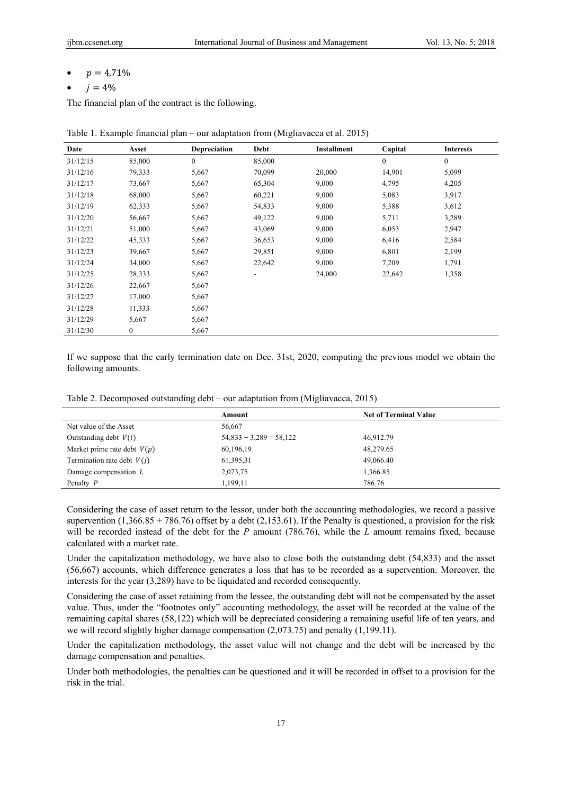- $p = 4,71\%$
- $j = 4\%$

The financial plan of the contract is the following.

| Date     | Asset  | <b>Depreciation</b> | Debt                     | <b>Installment</b> | Capital      | <b>Interests</b> |
|----------|--------|---------------------|--------------------------|--------------------|--------------|------------------|
| 31/12/15 | 85,000 | $\mathbf{0}$        | 85,000                   |                    | $\mathbf{0}$ | $\mathbf{0}$     |
| 31/12/16 | 79,333 | 5,667               | 70,099                   | 20,000             | 14,901       | 5,099            |
| 31/12/17 | 73,667 | 5,667               | 65,304                   | 9,000              | 4,795        | 4,205            |
| 31/12/18 | 68,000 | 5,667               | 60,221                   | 9,000              | 5,083        | 3,917            |
| 31/12/19 | 62,333 | 5,667               | 54,833                   | 9,000              | 5,388        | 3,612            |
| 31/12/20 | 56,667 | 5,667               | 49,122                   | 9,000              | 5,711        | 3,289            |
| 31/12/21 | 51,000 | 5,667               | 43,069                   | 9,000              | 6,053        | 2,947            |
| 31/12/22 | 45,333 | 5,667               | 36,653                   | 9,000              | 6,416        | 2,584            |
| 31/12/23 | 39,667 | 5,667               | 29,851                   | 9,000              | 6,801        | 2,199            |
| 31/12/24 | 34,000 | 5,667               | 22,642                   | 9,000              | 7,209        | 1,791            |
| 31/12/25 | 28,333 | 5,667               | $\overline{\phantom{a}}$ | 24,000             | 22,642       | 1,358            |
| 31/12/26 | 22,667 | 5,667               |                          |                    |              |                  |
| 31/12/27 | 17,000 | 5,667               |                          |                    |              |                  |
| 31/12/28 | 11,333 | 5,667               |                          |                    |              |                  |
| 31/12/29 | 5,667  | 5,667               |                          |                    |              |                  |
| 31/12/30 | 0      | 5,667               |                          |                    |              |                  |

Table 1. Example financial plan – our adaptation from (Migliavacca et al. 2015)

If we suppose that the early termination date on Dec. 31st, 2020, computing the previous model we obtain the following amounts.

| Table 2. Decomposed outstanding debt – our adaptation from (Migliavacca, 2015) |  |  |
|--------------------------------------------------------------------------------|--|--|
|                                                                                |  |  |

|                               | Amount                    | <b>Net of Terminal Value</b> |
|-------------------------------|---------------------------|------------------------------|
| Net value of the Asset        | 56,667                    |                              |
| Outstanding debt $V(i)$       | $54,833 + 3,289 = 58,122$ | 46.912.79                    |
| Market prime rate debt $V(p)$ | 60,196,19                 | 48,279.65                    |
| Termination rate debt $V(i)$  | 61,395,31                 | 49,066.40                    |
| Damage compensation L         | 2,073,75                  | 1,366.85                     |
| Penalty P                     | 1.199.11                  | 786.76                       |

Considering the case of asset return to the lessor, under both the accounting methodologies, we record a passive supervention  $(1,366.85 + 786.76)$  offset by a debt  $(2,153.61)$ . If the Penalty is questioned, a provision for the risk will be recorded instead of the debt for the *P* amount (786.76), while the *L* amount remains fixed, because calculated with a market rate.

Under the capitalization methodology, we have also to close both the outstanding debt (54,833) and the asset (56,667) accounts, which difference generates a loss that has to be recorded as a supervention. Moreover, the interests for the year (3,289) have to be liquidated and recorded consequently.

Considering the case of asset retaining from the lessee, the outstanding debt will not be compensated by the asset value. Thus, under the "footnotes only" accounting methodology, the asset will be recorded at the value of the remaining capital shares (58,122) which will be depreciated considering a remaining useful life of ten years, and we will record slightly higher damage compensation (2,073.75) and penalty (1,199.11).

Under the capitalization methodology, the asset value will not change and the debt will be increased by the damage compensation and penalties.

Under both methodologies, the penalties can be questioned and it will be recorded in offset to a provision for the risk in the trial.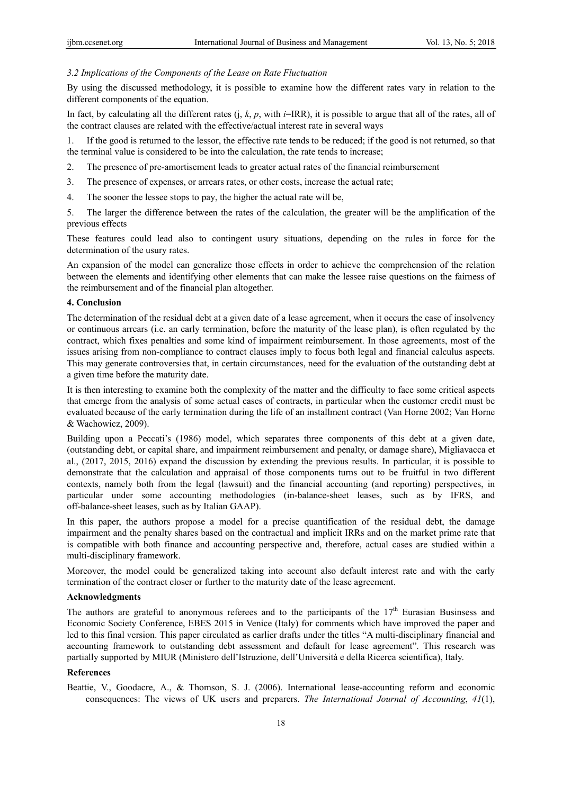#### *3.2 Implications of the Components of the Lease on Rate Fluctuation*

By using the discussed methodology, it is possible to examine how the different rates vary in relation to the different components of the equation.

In fact, by calculating all the different rates  $(i, k, p, with *i*=IRR)$ , it is possible to argue that all of the rates, all of the contract clauses are related with the effective/actual interest rate in several ways

1. If the good is returned to the lessor, the effective rate tends to be reduced; if the good is not returned, so that the terminal value is considered to be into the calculation, the rate tends to increase;

- 2. The presence of pre-amortisement leads to greater actual rates of the financial reimbursement
- 3. The presence of expenses, or arrears rates, or other costs, increase the actual rate;
- 4. The sooner the lessee stops to pay, the higher the actual rate will be,

5. The larger the difference between the rates of the calculation, the greater will be the amplification of the previous effects

These features could lead also to contingent usury situations, depending on the rules in force for the determination of the usury rates.

An expansion of the model can generalize those effects in order to achieve the comprehension of the relation between the elements and identifying other elements that can make the lessee raise questions on the fairness of the reimbursement and of the financial plan altogether.

### **4. Conclusion**

The determination of the residual debt at a given date of a lease agreement, when it occurs the case of insolvency or continuous arrears (i.e. an early termination, before the maturity of the lease plan), is often regulated by the contract, which fixes penalties and some kind of impairment reimbursement. In those agreements, most of the issues arising from non-compliance to contract clauses imply to focus both legal and financial calculus aspects. This may generate controversies that, in certain circumstances, need for the evaluation of the outstanding debt at a given time before the maturity date.

It is then interesting to examine both the complexity of the matter and the difficulty to face some critical aspects that emerge from the analysis of some actual cases of contracts, in particular when the customer credit must be evaluated because of the early termination during the life of an installment contract (Van Horne 2002; Van Horne & Wachowicz, 2009).

Building upon a Peccati's (1986) model, which separates three components of this debt at a given date, (outstanding debt, or capital share, and impairment reimbursement and penalty, or damage share), Migliavacca et al., (2017, 2015, 2016) expand the discussion by extending the previous results. In particular, it is possible to demonstrate that the calculation and appraisal of those components turns out to be fruitful in two different contexts, namely both from the legal (lawsuit) and the financial accounting (and reporting) perspectives, in particular under some accounting methodologies (in-balance-sheet leases, such as by IFRS, and off-balance-sheet leases, such as by Italian GAAP).

In this paper, the authors propose a model for a precise quantification of the residual debt, the damage impairment and the penalty shares based on the contractual and implicit IRRs and on the market prime rate that is compatible with both finance and accounting perspective and, therefore, actual cases are studied within a multi-disciplinary framework.

Moreover, the model could be generalized taking into account also default interest rate and with the early termination of the contract closer or further to the maturity date of the lease agreement.

#### **Acknowledgments**

The authors are grateful to anonymous referees and to the participants of the  $17<sup>th</sup>$  Eurasian Businsess and Economic Society Conference, EBES 2015 in Venice (Italy) for comments which have improved the paper and led to this final version. This paper circulated as earlier drafts under the titles "A multi-disciplinary financial and accounting framework to outstanding debt assessment and default for lease agreement". This research was partially supported by MIUR (Ministero dell'Istruzione, dell'Università e della Ricerca scientifica), Italy.

#### **References**

Beattie, V., Goodacre, A., & Thomson, S. J. (2006). International lease-accounting reform and economic consequences: The views of UK users and preparers. *The International Journal of Accounting*, *41*(1),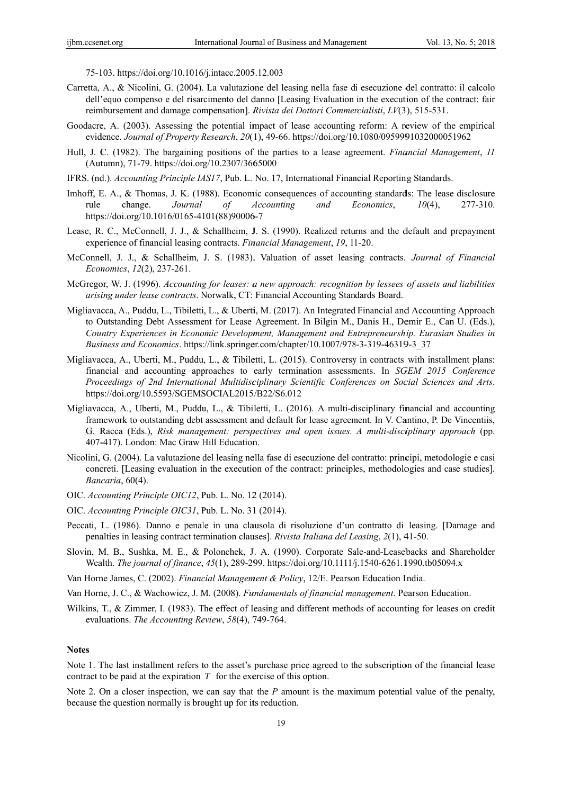75-103. https://doi.org/10.1016/j.intacc.2005.12.003

- Carretta, A., & Nicolini, G. (2004). La valutazione del leasing nella fase di esecuzione del contratto: il calcolo dell'equo compenso e del risarcimento del danno [Leasing Evaluation in the execution of the contract: fair reimbursement and damage compensation]. *Rivista dei Dottori Commercialisti*, *LV*(3), 515-531.
- Goodacre, A. (2003). Assessing the potential impact of lease accounting reform: A review of the empirical evidence. *Journal of Property Research*, 20(1), 49-66. https://doi.org/10.1080/0959991032000051962
- Hull, J. C. (1982). The bargaining positions of the parties to a lease agreement. *Financial Management*, 11 (Autumn), 71-79. https://doi.org/10.2307/3665000
- IFRS. (nd.). *Accounting Principle IAS17*, Pub. L. No. 17, International Financial Reporting Standards.
- Imhoff, E. A., & Thomas, J. K. (1988). Economic consequences of accounting standards: The lease disclosure rule https://doi.org/10.1016/0165-4101(88)90006-7 change. *Journal*   $of$ *Accounting*  and *Economics*, *10*(4), 277-310.
- Lease, R. C., McConnell, J. J., & Schallheim, J. S. (1990). Realized returns and the default and prepayment experience of financial leasing contracts. *Financial Management*, 19, 11-20.
- McConnell, J. J., & Schallheim, J. S. (1983). Valuation of asset leasing contracts. *Journal of Financial Econ nomics*, *12*(2) , 237-261.
- McGregor, W. J. (1996). Accounting for leases: a new approach: recognition by lessees of assets and liabilities arising under lease contracts. Norwalk, CT: Financial Accounting Standards Board.
- Migliavacca, A., Puddu, L., Tibiletti, L., & Uberti, M. (2017). An Integrated Financial and Accounting Approach to Outstanding Debt Assessment for Lease Agreement. In Bilgin M., Danis H., Demir E., Can U. (Eds.), Country Experiences in Economic Development, Management and Entrepreneurship. Eurasian Studies in Business and Economics. https://link.springer.com/chapter/10.1007/978-3-319-46319-3\_37
- Migliavacca, A., Uberti, M., Puddu, L., & Tibiletti, L. (2015). Controversy in contracts with installment plans: financial and accounting approaches to early termination assessments. In *SGEM 2015 Conference Proc ceedings of 2 2nd Internatio onal Multidisc ciplinary Scie entific Confer rences on Soc cial Sciences and Arts*. https://doi.org/10.5593/SGEMSOCIAL2015/B22/S6.012
- Migliavacca, A., Uberti, M., Puddu, L., & Tibiletti, L. (2016). A multi-disciplinary financial and accounting framework to outstanding debt assessment and default for lease agreement. In V. Cantino, P. De Vincentiis, G. Racca (Eds.), Risk management: perspectives and open issues. A multi-disciplinary approach (pp. 407-417). London: Mac Graw Hill Education.
- Nicolini, G. (2004). La valutazione del leasing nella fase di esecuzione del contratto: principi, metodologie e casi concreti. [Leasing evaluation in the execution of the contract: principles, methodologies and case studies]. *Banc caria*, 60(4).
- OIC. Accounting Principle OIC12, Pub. L. No. 12 (2014).
- OIC. Accounting Principle OIC31, Pub. L. No. 31 (2014).
- Peccati, L. (1986). Danno e penale in una clausola di risoluzione d'un contratto di leasing. [Damage and penalties in leasing contract termination clauses]. *Rivista Italiana del Leasing*, 2(1), 41-50.
- Slovin, M. B., Sushka, M. E., & Polonchek, J. A. (1990). Corporate Sale-and-Leasebacks and Shareholder Wealth. *The journal of finance*, 45(1), 289-299. https://doi.org/10.1111/j.1540-6261.1990.tb05094.x
- Van Horne James, C. (2002). *Financial Management & Policy*, 12/E. Pearson Education India.

Van Horne, J. C., & Wachowicz, J. M. (2008). *Fundamentals of financial management*. Pearson Education.

Wilkins, T., & Zimmer, I. (1983). The effect of leasing and different methods of accounting for leases on credit eval uations. *The A Accounting Re eview*, *58*(4), 7 749-764.

#### **Notes**

Note 1. The last installment refers to the asset's purchase price agreed to the subscription of the financial lease contract to be paid at the expiration  $T$  for the exercise of this option.

Note 2. On a closer inspection, we can say that the  $P$  amount is the maximum potential value of the penalty, because the question normally is brought up for its reduction.